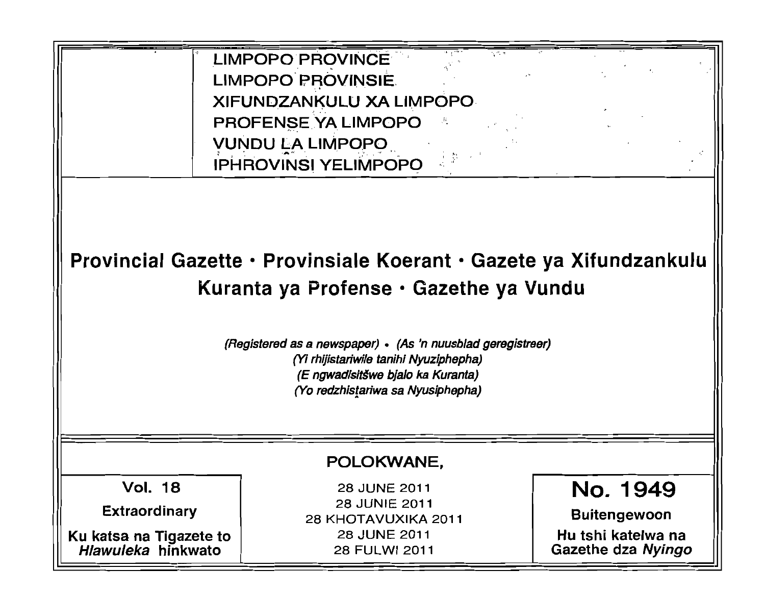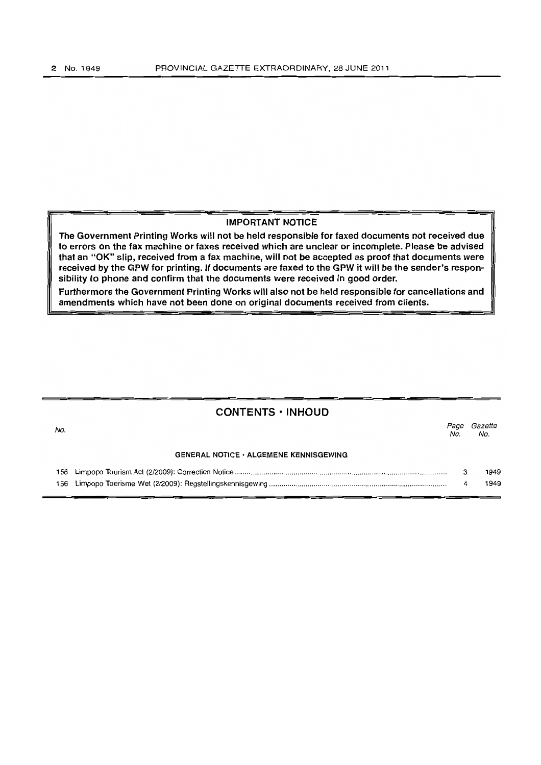#### IMPORTANT NOTICE

The Government Printing Works will not be held responsible for faxed documents not received due to errors on the fax machine or faxes received which are unclear or incomplete. Please be advised that an "OK" slip, received from a fax machine, will not be accepted as proof that documents were received by the GPW for printing. If documents are faxed to the GPW it will be the sender's responsibility to phone and confirm that the documents were received in good order.

Furthermore the Government Printing Works will also not be held responsible for cancellations and amendments which have not been done on original documents received from clients.

|     | <b>CONTENTS · INHOUD</b>                      |             |                |
|-----|-----------------------------------------------|-------------|----------------|
| No. |                                               | Page<br>No. | Gazette<br>No. |
|     | <b>GENERAL NOTICE · ALGEMENE KENNISGEWING</b> |             |                |
|     |                                               |             | 1949<br>1949   |
|     |                                               |             |                |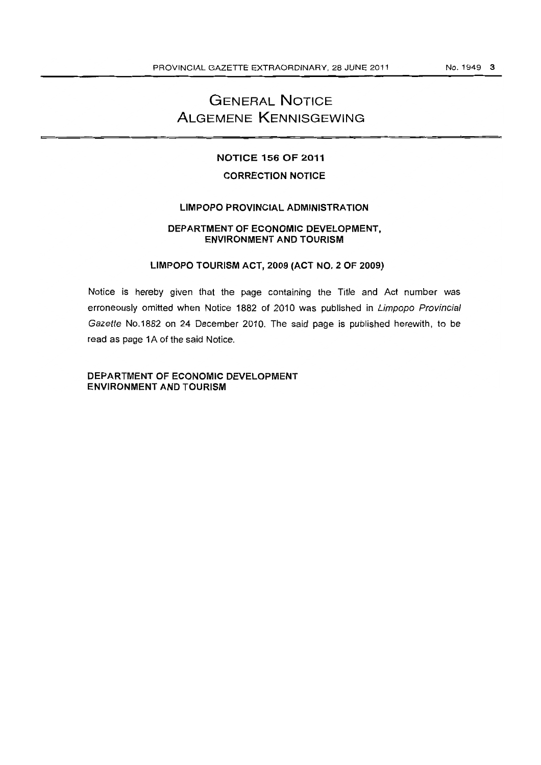# **GENERAL NOTICE ALGEMENE KENNISGEWING**

# **NOTICE 156 OF 2011**

# **CORRECTION NOTICE**

# **LIMPOPO PROVINCIAL ADMINISTRATION**

# **DEPARTMENT OF ECONOMIC DEVELOPMENT, ENVIRONMENT AND TOURISM**

# **LIMPOPO TOURISM ACT, 2009 (ACT NO.2 OF 2009)**

Notice is hereby given that the page containing the Title and Act number was erroneously omitted when Notice 1882 of 2010 was published in Limpopo Provincial Gazette No.1882 on 24 December 2010. The said page is published herewith, to be read as page 1A of the said Notice.

**DEPARTMENT OF ECONOMIC DEVELOPMENT ENVIRONMENT AND TOURISM**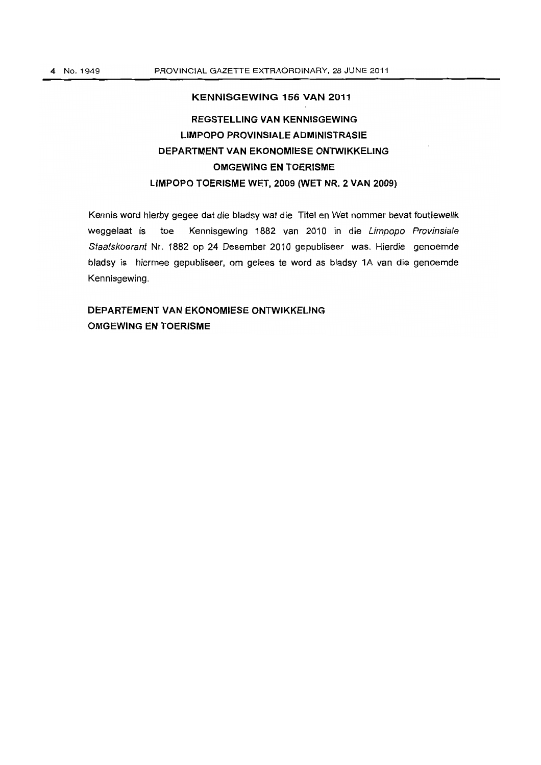# **KENNISGEWING 156 VAN 2011 REGSTELLING VAN KENNISGEWING LIMPOPO PROVINSIALE ADMINISTRASIE DEPAR"rMENT VAN EKONOMIESE ONTWIKKELING OMGEWING EN TOERISME LIMPOPO TOERISME WET, 2009 (WET NR. 2 VAN 2009)**

Kennis word hierby gegee dat die bladsy wat die Titel en Wet nommer bevat foutiewelik weggelaat is toe Kennisgewing 1882 van 2010 in die Limpopo Provinsiale Staatskoerant Nr. 1882 op 24 Desember 2010 gepubliseer was. Hierdie genoemde bladsy is hiermee gepubliseer, om gelees te word as bladsy 1A van die genoemde Kennisgewing.

# **DEPARTEMENT VAN EKONOMIESE ONTWIKKELING OMGEWING EN TOERISME**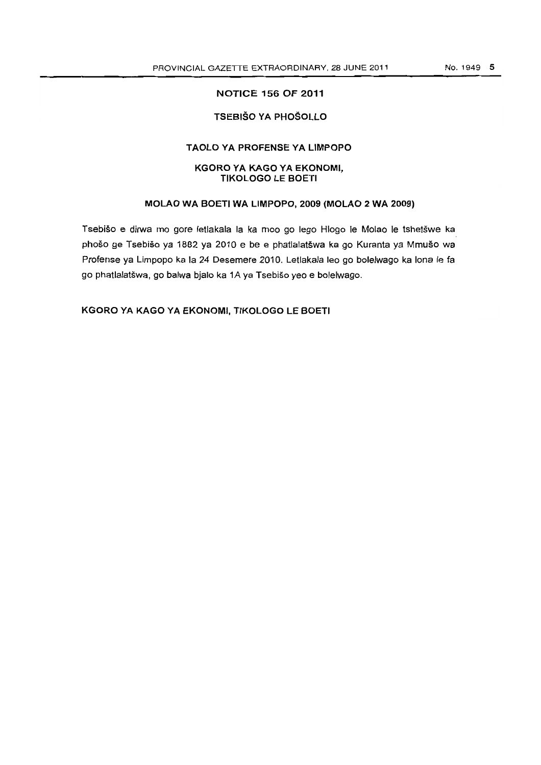# TSEBISO YA PHOSOLLO

# TAOLO VA PROFENSE VA LIMPOPO

#### KGORO VA KAGO YA EKONOMI, **TIKOLOGO LE BOETI**

### MOlAO WA BOETI WA LIMPOPO, 2009 (MOLAO 2 WA 2009)

Tsebišo e dirwa mo gore letlakala la ka moo go lego Hlogo le Molao le tshetšwe ka phošo ge Tsebišo ya 1882 ya 2010 e be e phatlalatšwa ka go Kuranta ya Mmušo wa Profense ya Limpopo ka la 24 Desemere 2010. Letlakala leo go bolelwago ka lona Ie fa go phatlalatswa, go balwa bjalo ka 1A ya Tsebiso yeo e bolelwago.

KGORO VA KAGO VA EKONOMI, TIKOLOGO lE BOETI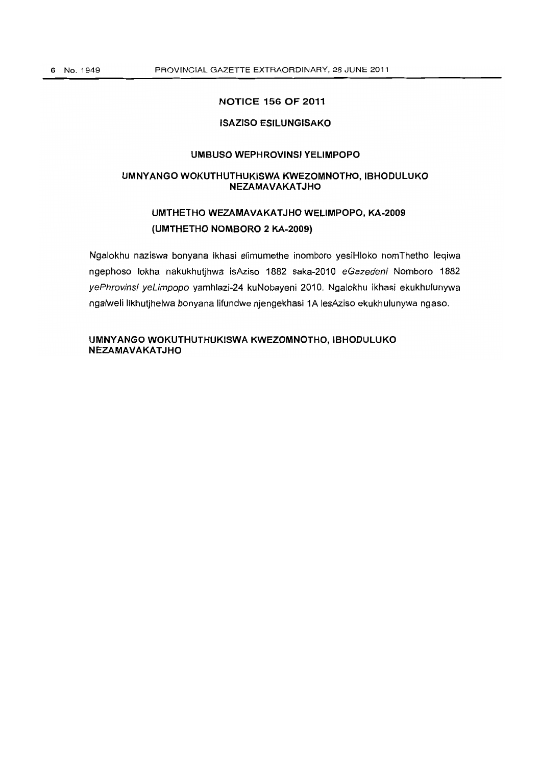#### **ISAZISO ESILUNGISAKO**

### **UMBUSO WEPHROVINSI YELIMPOPO**

#### **UMNYANGO WOKUTHUTHUKISWA KWEZOMNOTHO, IBHODULUKO NEZAMAVAKATJHO**

# **UMTHETHO WEZAMAVAKAT JHO WELIMPOPO, KA-2009 (UMTHETHO NOMBORO 2 KA-2009)**

Ngalokhu naziswa bonyana ikhasi elimumethe inomboro yesiHloko nomThetho leqiwa ngephoso lokha nakukhutjhwa isAziso 1882 saka-2010 eGazedeni Nomboro 1882 yePhrovinsi yeLimpopo yamhlazi-24 kuNobayeni 2010. Ngalokhu ikhasi ekukhulunywa ngalweli likhutjhelwa bonyana lifundwe njengekhasi 1A lesAziso ekukhulunywa nga50.

**UMNYANGO WOKUTHUTHUKISWA KWEZOMNOTHO, IBHODLILUKO NEZAMAVAKATJHO**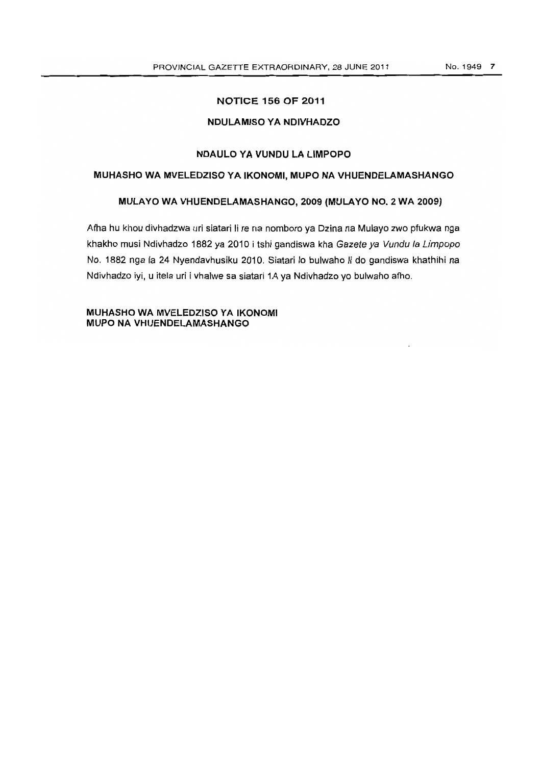# **NDULAMISO YA NDIVHADZO**

### **NDAULO YA VUNDU LA LIMPOPO**

### **MUHASHO WA MVELEDZISO YA IKONOMI, MUPO NA VHUENDELAMASHANGO**

#### **MULAYO WA VHUENDELAMASHANGO, 2009 (MULA YO NO.2 WA 2009)**

Afha hu khou divhadzwa uri siatari Ii re na nomboro ya Dzina na Mulayo zwo pfukwa nga khakho musi Ndivhadzo 1882 ya 2010 i tshi gandiswa kha Gazete ya Vundu la Limpopo No. 1882 nga la 24 Nyendavhusiku 2010. Siatari 10 bulwaho Ii do gandiswa khathihi na Ndivhadzo iyi, u itela uri i vhalwe sa siatari 1A ya Ndivhadzo yo bulwaho afho.

**MUHASHO WA MVELEDZISO YA IKONOMI MUPO NA VHUENDELAMASHANGO**